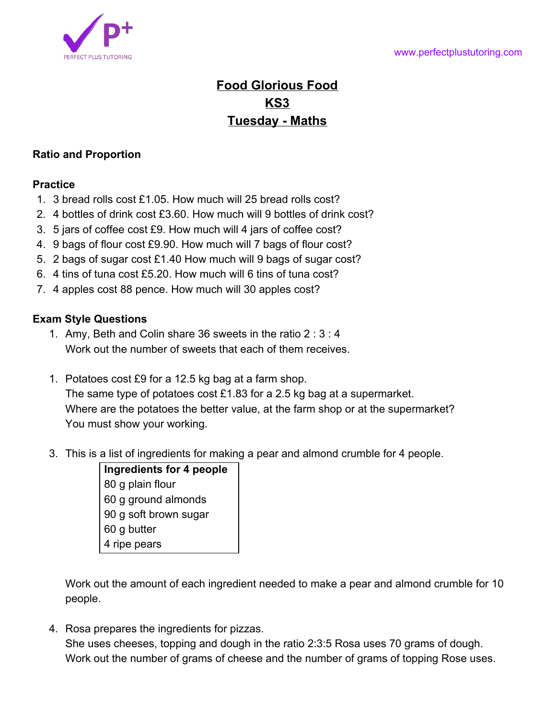

## **Food Glorious Food KS3 Tuesday - Maths**

## **Ratio and Proportion**

## **Practice**

- 1. 3 bread rolls cost £1.05. How much will 25 bread rolls cost?
- 2. 4 bottles of drink cost £3.60. How much will 9 bottles of drink cost?
- 3. 5 jars of coffee cost £9. How much will 4 jars of coffee cost?
- 4. 9 bags of flour cost £9.90. How much will 7 bags of flour cost?
- 5. 2 bags of sugar cost £1.40 How much will 9 bags of sugar cost?
- 6. 4 tins of tuna cost £5.20. How much will 6 tins of tuna cost?
- 7. 4 apples cost 88 pence. How much will 30 apples cost?

## **Exam Style Questions**

- 1. Amy, Beth and Colin share 36 sweets in the ratio 2 : 3 : 4 Work out the number of sweets that each of them receives.
- 1. Potatoes cost £9 for a 12.5 kg bag at a farm shop. The same type of potatoes cost £1.83 for a 2.5 kg bag at a supermarket. Where are the potatoes the better value, at the farm shop or at the supermarket? You must show your working.
- 3. This is a list of ingredients for making a pear and almond crumble for 4 people.
	- **Ingredients for 4 people** 80 g plain flour 60 g ground almonds 90 g soft brown sugar 60 g butter 4 ripe pears

Work out the amount of each ingredient needed to make a pear and almond crumble for 10 people.

4. Rosa prepares the ingredients for pizzas. She uses cheeses, topping and dough in the ratio 2:3:5 Rosa uses 70 grams of dough. Work out the number of grams of cheese and the number of grams of topping Rose uses.